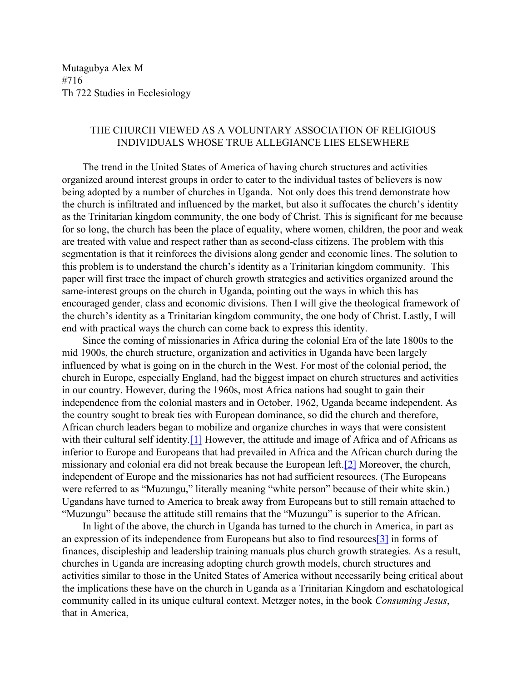Mutagubya Alex M #716 Th 722 Studies in Ecclesiology

## THE CHURCH VIEWED AS A VOLUNTARY ASSOCIATION OF RELIGIOUS INDIVIDUALS WHOSE TRUE ALLEGIANCE LIES ELSEWHERE

The trend in the United States of America of having church structures and activities organized around interest groups in order to cater to the individual tastes of believers is now being adopted by a number of churches in Uganda. Not only does this trend demonstrate how the church is infiltrated and influenced by the market, but also it suffocates the church's identity as the Trinitarian kingdom community, the one body of Christ. This is significant for me because for so long, the church has been the place of equality, where women, children, the poor and weak are treated with value and respect rather than as second-class citizens. The problem with this segmentation is that it reinforces the divisions along gender and economic lines. The solution to this problem is to understand the church's identity as a Trinitarian kingdom community. This paper will first trace the impact of church growth strategies and activities organized around the same-interest groups on the church in Uganda, pointing out the ways in which this has encouraged gender, class and economic divisions. Then I will give the theological framework of the church's identity as a Trinitarian kingdom community, the one body of Christ. Lastly, I will end with practical ways the church can come back to express this identity.

Since the coming of missionaries in Africa during the colonial Era of the late 1800s to the mid 1900s, the church structure, organization and activities in Uganda have been largely influenced by what is going on in the church in the West. For most of the colonial period, the church in Europe, especially England, had the biggest impact on church structures and activities in our country. However, during the 1960s, most Africa nations had sought to gain their independence from the colonial masters and in October, 1962, Uganda became independent. As the country sought to break ties with European dominance, so did the church and therefore, African church leaders began to mobilize and organize churches in ways that were consistent with their cultural self identity.<sup>[\[1\]](#page-3-0)</sup> However, the attitude and image of Africa and of Africans as inferior to Europe and Europeans that had prevailed in Africa and the African church during the missionary and colonial era did not break because the European left.[\[2\]](#page-3-1) Moreover, the church, independent of Europe and the missionaries has not had sufficient resources. (The Europeans were referred to as "Muzungu," literally meaning "white person" because of their white skin.) Ugandans have turned to America to break away from Europeans but to still remain attached to "Muzungu" because the attitude still remains that the "Muzungu" is superior to the African.

<span id="page-0-2"></span><span id="page-0-1"></span><span id="page-0-0"></span>In light of the above, the church in Uganda has turned to the church in America, in part as an expression of its independence from Europeans but also to find resources[\[3\]](#page-3-2) in forms of finances, discipleship and leadership training manuals plus church growth strategies. As a result, churches in Uganda are increasing adopting church growth models, church structures and activities similar to those in the United States of America without necessarily being critical about the implications these have on the church in Uganda as a Trinitarian Kingdom and eschatological community called in its unique cultural context. Metzger notes, in the book *Consuming Jesus*, that in America,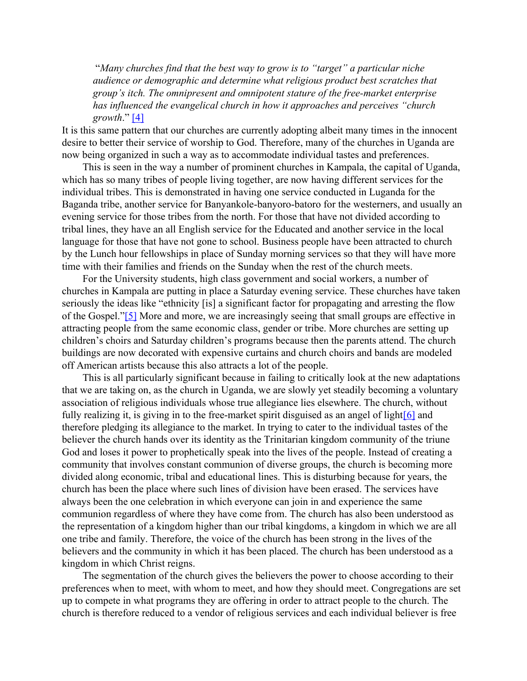"*Many churches find that the best way to grow is to "target" a particular niche audience or demographic and determine what religious product best scratches that group's itch. The omnipresent and omnipotent stature of the free-market enterprise has influenced the evangelical church in how it approaches and perceives "church growth*." [\[4\]](#page-3-3)

<span id="page-1-0"></span>It is this same pattern that our churches are currently adopting albeit many times in the innocent desire to better their service of worship to God. Therefore, many of the churches in Uganda are now being organized in such a way as to accommodate individual tastes and preferences.

This is seen in the way a number of prominent churches in Kampala, the capital of Uganda, which has so many tribes of people living together, are now having different services for the individual tribes. This is demonstrated in having one service conducted in Luganda for the Baganda tribe, another service for Banyankole-banyoro-batoro for the westerners, and usually an evening service for those tribes from the north. For those that have not divided according to tribal lines, they have an all English service for the Educated and another service in the local language for those that have not gone to school. Business people have been attracted to church by the Lunch hour fellowships in place of Sunday morning services so that they will have more time with their families and friends on the Sunday when the rest of the church meets.

<span id="page-1-1"></span>For the University students, high class government and social workers, a number of churches in Kampala are putting in place a Saturday evening service. These churches have taken seriously the ideas like "ethnicity [is] a significant factor for propagating and arresting the flow of the Gospel."[\[5\]](#page-3-4) More and more, we are increasingly seeing that small groups are effective in attracting people from the same economic class, gender or tribe. More churches are setting up children's choirs and Saturday children's programs because then the parents attend. The church buildings are now decorated with expensive curtains and church choirs and bands are modeled off American artists because this also attracts a lot of the people.

<span id="page-1-2"></span>This is all particularly significant because in failing to critically look at the new adaptations that we are taking on, as the church in Uganda, we are slowly yet steadily becoming a voluntary association of religious individuals whose true allegiance lies elsewhere. The church, without fully realizing it, is giving in to the free-market spirit disguised as an angel of light[\[6\]](#page-3-5) and therefore pledging its allegiance to the market. In trying to cater to the individual tastes of the believer the church hands over its identity as the Trinitarian kingdom community of the triune God and loses it power to prophetically speak into the lives of the people. Instead of creating a community that involves constant communion of diverse groups, the church is becoming more divided along economic, tribal and educational lines. This is disturbing because for years, the church has been the place where such lines of division have been erased. The services have always been the one celebration in which everyone can join in and experience the same communion regardless of where they have come from. The church has also been understood as the representation of a kingdom higher than our tribal kingdoms, a kingdom in which we are all one tribe and family. Therefore, the voice of the church has been strong in the lives of the believers and the community in which it has been placed. The church has been understood as a kingdom in which Christ reigns.

The segmentation of the church gives the believers the power to choose according to their preferences when to meet, with whom to meet, and how they should meet. Congregations are set up to compete in what programs they are offering in order to attract people to the church. The church is therefore reduced to a vendor of religious services and each individual believer is free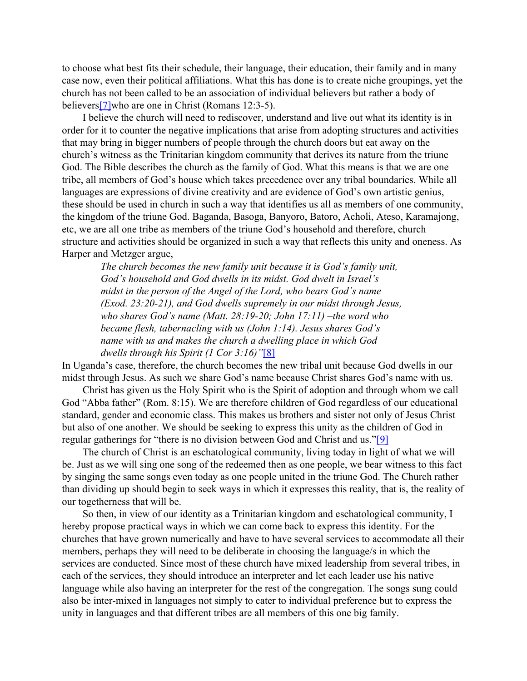to choose what best fits their schedule, their language, their education, their family and in many case now, even their political affiliations. What this has done is to create niche groupings, yet the church has not been called to be an association of individual believers but rather a body of believer[s\[7\]](#page-3-6)who are one in Christ (Romans 12:3-5).

<span id="page-2-0"></span>I believe the church will need to rediscover, understand and live out what its identity is in order for it to counter the negative implications that arise from adopting structures and activities that may bring in bigger numbers of people through the church doors but eat away on the church's witness as the Trinitarian kingdom community that derives its nature from the triune God. The Bible describes the church as the family of God. What this means is that we are one tribe, all members of God's house which takes precedence over any tribal boundaries. While all languages are expressions of divine creativity and are evidence of God's own artistic genius, these should be used in church in such a way that identifies us all as members of one community, the kingdom of the triune God. Baganda, Basoga, Banyoro, Batoro, Acholi, Ateso, Karamajong, etc, we are all one tribe as members of the triune God's household and therefore, church structure and activities should be organized in such a way that reflects this unity and oneness. As Harper and Metzger argue,

*The church becomes the new family unit because it is God's family unit, God's household and God dwells in its midst. God dwelt in Israel's midst in the person of the Angel of the Lord, who bears God's name (Exod. 23:20-21), and God dwells supremely in our midst through Jesus, who shares God's name (Matt. 28:19-20; John 17:11) –the word who became flesh, tabernacling with us (John 1:14). Jesus shares God's name with us and makes the church a dwelling place in which God dwells through his Spirit (1 Cor 3:16)"*[\[8\]](#page-3-7)

<span id="page-2-1"></span>In Uganda's case, therefore, the church becomes the new tribal unit because God dwells in our midst through Jesus. As such we share God's name because Christ shares God's name with us.

Christ has given us the Holy Spirit who is the Spirit of adoption and through whom we call God "Abba father" (Rom. 8:15). We are therefore children of God regardless of our educational standard, gender and economic class. This makes us brothers and sister not only of Jesus Christ but also of one another. We should be seeking to express this unity as the children of God in regular gatherings for "there is no division between God and Christ and us."[\[9\]](#page-3-8)

<span id="page-2-2"></span>The church of Christ is an eschatological community, living today in light of what we will be. Just as we will sing one song of the redeemed then as one people, we bear witness to this fact by singing the same songs even today as one people united in the triune God. The Church rather than dividing up should begin to seek ways in which it expresses this reality, that is, the reality of our togetherness that will be.

So then, in view of our identity as a Trinitarian kingdom and eschatological community, I hereby propose practical ways in which we can come back to express this identity. For the churches that have grown numerically and have to have several services to accommodate all their members, perhaps they will need to be deliberate in choosing the language/s in which the services are conducted. Since most of these church have mixed leadership from several tribes, in each of the services, they should introduce an interpreter and let each leader use his native language while also having an interpreter for the rest of the congregation. The songs sung could also be inter-mixed in languages not simply to cater to individual preference but to express the unity in languages and that different tribes are all members of this one big family.